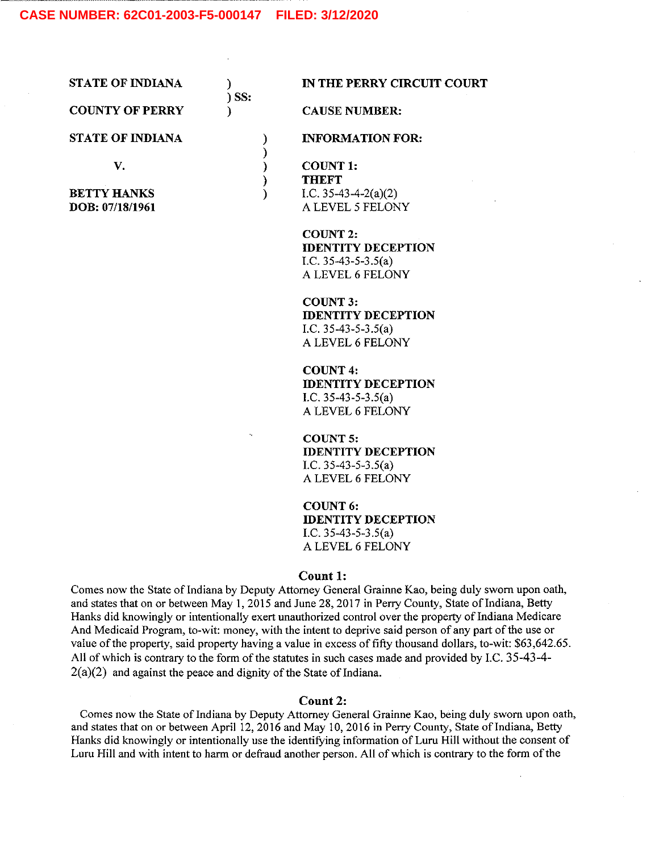# **CASE NUMBER: 62C01-2003-F5-000147 FILED: 3/12/2020**

STATE OF INDIANA  $\qquad$ ) IN THE PERRY CIRCUIT COURT

COUNTY OF PERRY (CAUSE NUMBER:

STATE OF INDIANA  $N = \text{NFCRMATION FOR:}$ 

ss:

 $\mathcal{E}$ 

 $\lambda$ 

V. COUNT 1: **THEFT BETTY HANKS** (2) [I.C. 35-43-4-2(a)(2) **DOB:** 07/18/1961 (2)  $\overline{A}$  LEVEL 5 FELON A LEVEL 5 FELONY

> COUNT 2:IDENTITY DECEPTION I.C.  $35-43-5-3.5(a)$ A LEVEL 6 FELONY

> COUNT 3: IDENTITY DECEPTION LC. 35-43-5-3.5(a) A LEVEL 6 FELONY

> COUNT 4: IDENTITY DECEPTION LC. 35-43-5-3.5(a) A LEVEL 6 FELONY

> COUNT 5:IDENTITY DECEPTION 1.C.  $35-43-5-3.5(a)$ A LEVEL 6 FELONY

> COUNT 6: IDENTITY DECEPTION LC. 35-43-5-3.5(a) A LEVEL 6 FELONY

## Count 1:

Comes now the State of Indiana by Deputy Attorney General Grainne Kao, being duly sworn upon oath, and states that on or between May 1, 2015 and June 28, 2017 in Perry County, State of Indiana, Betty Hanks did knowingly or intentionally exert unauthorized control over the property of Indiana Medicare And Medicaid Program, to-wit: money, with the intent to deprive said person of any part of the use or value of the property, said property having a value in excess of fifty thousand dollars, to-wit: \$63,642.65. All of which is contrary to the form of the statutes in such cases made and provided by LC. 35-43-4-  $2(a)(2)$  and against the peace and dignity of the State of Indiana.

## Count 2:

Comes now the State of Indiana by Deputy Attorney General Grainne Kao, being duly sworn upon oath, and states that on or between April 12, 2016 and May 10, 2016 in Perry County, State of Indiana, Betty Hanks did knowingly or intentionally use the identifying information of Luru Hill without the consent of Luru Hill and with intent to harm or defraud another person. All of which is contrary to the form of the